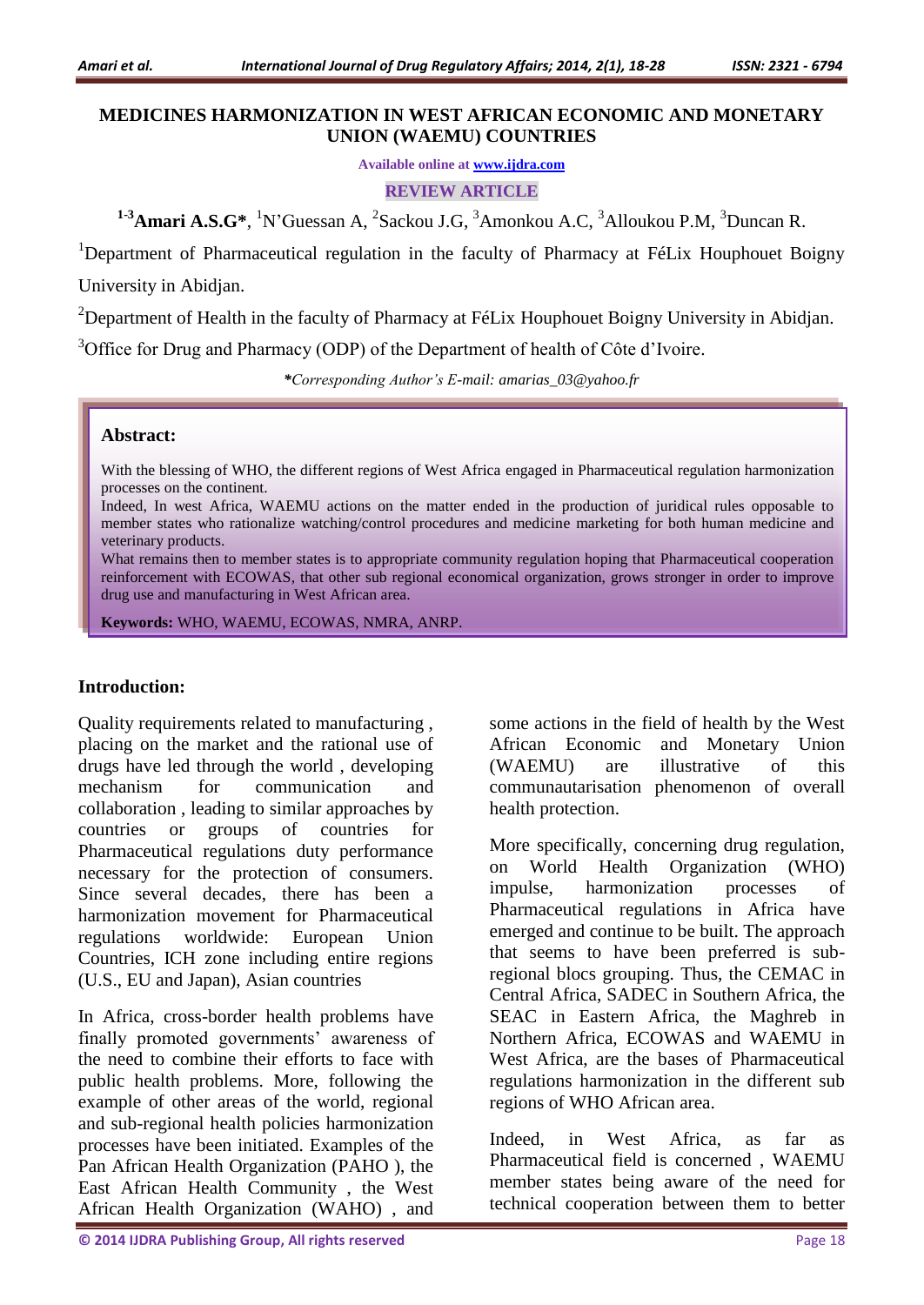## **MEDICINES HARMONIZATION IN WEST AFRICAN ECONOMIC AND MONETARY UNION (WAEMU) COUNTRIES**

**Available online at [www.ijdra.com](http://www.ijdra.com/)**

**REVIEW ARTICLE**

<sup>1-3</sup>**Amari A.S.G\***, <sup>1</sup>N'Guessan A, <sup>2</sup>Sackou J.G, <sup>3</sup>Amonkou A.C, <sup>3</sup>Alloukou P.M, <sup>3</sup>Duncan R.

<sup>1</sup>Department of Pharmaceutical regulation in the faculty of Pharmacy at FéLix Houphouet Boigny University in Abidjan.

<sup>2</sup>Department of Health in the faculty of Pharmacy at FéLix Houphouet Boigny University in Abidjan.

 $3^3$ Office for Drug and Pharmacy (ODP) of the Department of health of Côte d'Ivoire.

*\*Corresponding Author's E-mail: amarias\_03@yahoo.fr*

#### **Abstract:**

With the blessing of WHO, the different regions of West Africa engaged in Pharmaceutical regulation harmonization processes on the continent.

Indeed, In west Africa, WAEMU actions on the matter ended in the production of juridical rules opposable to member states who rationalize watching/control procedures and medicine marketing for both human medicine and veterinary products.

What remains then to member states is to appropriate community regulation hoping that Pharmaceutical cooperation reinforcement with ECOWAS, that other sub regional economical organization, grows stronger in order to improve drug use and manufacturing in West African area.

**Keywords:** WHO, WAEMU, ECOWAS, NMRA, ANRP.

### **Introduction:**

Quality requirements related to manufacturing , placing on the market and the rational use of drugs have led through the world , developing mechanism for communication collaboration , leading to similar approaches by countries or groups of countries for Pharmaceutical regulations duty performance necessary for the protection of consumers. Since several decades, there has been a harmonization movement for Pharmaceutical regulations worldwide: European Union Countries, ICH zone including entire regions (U.S., EU and Japan), Asian countries

In Africa, cross-border health problems have finally promoted governments' awareness of the need to combine their efforts to face with public health problems. More, following the example of other areas of the world, regional and sub-regional health policies harmonization processes have been initiated. Examples of the Pan African Health Organization (PAHO ), the East African Health Community , the West African Health Organization (WAHO) , and

some actions in the field of health by the West African Economic and Monetary Union (WAEMU) are illustrative of this communautarisation phenomenon of overall health protection.

More specifically, concerning drug regulation, on World Health Organization (WHO) impulse, harmonization processes of Pharmaceutical regulations in Africa have emerged and continue to be built. The approach that seems to have been preferred is subregional blocs grouping. Thus, the CEMAC in Central Africa, SADEC in Southern Africa, the SEAC in Eastern Africa, the Maghreb in Northern Africa, ECOWAS and WAEMU in West Africa, are the bases of Pharmaceutical regulations harmonization in the different sub regions of WHO African area.

Indeed, in West Africa, as far as Pharmaceutical field is concerned , WAEMU member states being aware of the need for technical cooperation between them to better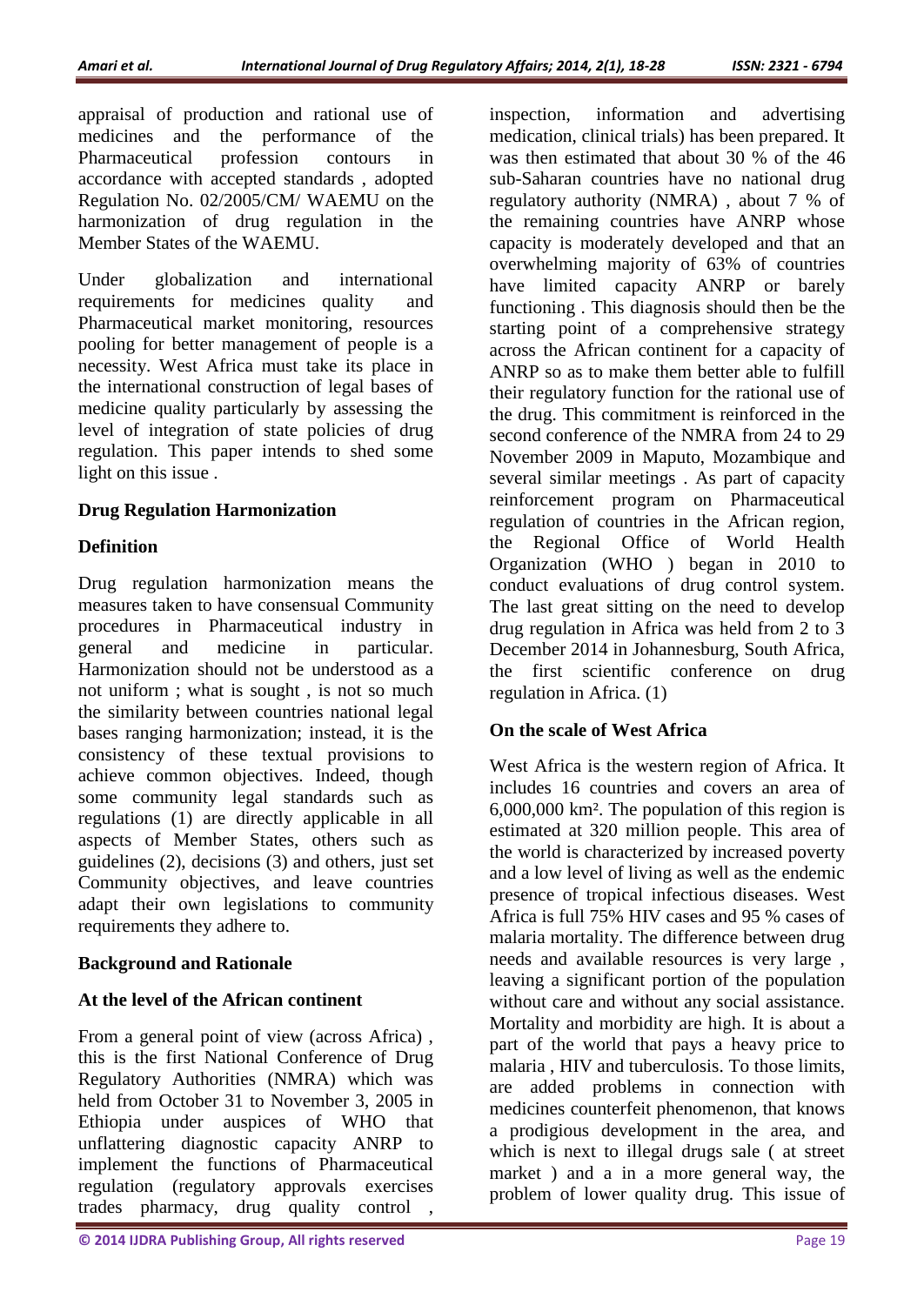appraisal of production and rational use of medicines and the performance of the Pharmaceutical profession contours in accordance with accepted standards , adopted Regulation No. 02/2005/CM/ WAEMU on the harmonization of drug regulation in the Member States of the WAEMU.

Under globalization and international requirements for medicines quality and Pharmaceutical market monitoring, resources pooling for better management of people is a necessity. West Africa must take its place in the international construction of legal bases of medicine quality particularly by assessing the level of integration of state policies of drug regulation. This paper intends to shed some light on this issue .

# **Drug Regulation Harmonization**

# **Definition**

Drug regulation harmonization means the measures taken to have consensual Community procedures in Pharmaceutical industry in general and medicine in particular. Harmonization should not be understood as a not uniform ; what is sought , is not so much the similarity between countries national legal bases ranging harmonization; instead, it is the consistency of these textual provisions to achieve common objectives. Indeed, though some community legal standards such as regulations (1) are directly applicable in all aspects of Member States, others such as guidelines (2), decisions (3) and others, just set Community objectives, and leave countries adapt their own legislations to community requirements they adhere to.

# **Background and Rationale**

# **At the level of the African continent**

From a general point of view (across Africa) , this is the first National Conference of Drug Regulatory Authorities (NMRA) which was held from October 31 to November 3, 2005 in Ethiopia under auspices of WHO that unflattering diagnostic capacity ANRP to implement the functions of Pharmaceutical regulation (regulatory approvals exercises trades pharmacy, drug quality control ,

inspection, information and advertising medication, clinical trials) has been prepared. It was then estimated that about 30 % of the 46 sub-Saharan countries have no national drug regulatory authority (NMRA) , about 7 % of the remaining countries have ANRP whose capacity is moderately developed and that an overwhelming majority of 63% of countries have limited capacity ANRP or barely functioning . This diagnosis should then be the starting point of a comprehensive strategy across the African continent for a capacity of ANRP so as to make them better able to fulfill their regulatory function for the rational use of the drug. This commitment is reinforced in the second conference of the NMRA from 24 to 29 November 2009 in Maputo, Mozambique and several similar meetings . As part of capacity reinforcement program on Pharmaceutical regulation of countries in the African region, the Regional Office of World Health Organization (WHO ) began in 2010 to conduct evaluations of drug control system. The last great sitting on the need to develop drug regulation in Africa was held from 2 to 3 December 2014 in Johannesburg, South Africa, the first scientific conference on drug regulation in Africa. (1)

# **On the scale of West Africa**

West Africa is the western region of Africa. It includes 16 countries and covers an area of 6,000,000 km². The population of this region is estimated at 320 million people. This area of the world is characterized by increased poverty and a low level of living as well as the endemic presence of tropical infectious diseases. West Africa is full 75% HIV cases and 95 % cases of malaria mortality. The difference between drug needs and available resources is very large , leaving a significant portion of the population without care and without any social assistance. Mortality and morbidity are high. It is about a part of the world that pays a heavy price to malaria , HIV and tuberculosis. To those limits, are added problems in connection with medicines counterfeit phenomenon, that knows a prodigious development in the area, and which is next to illegal drugs sale ( at street market ) and a in a more general way, the problem of lower quality drug. This issue of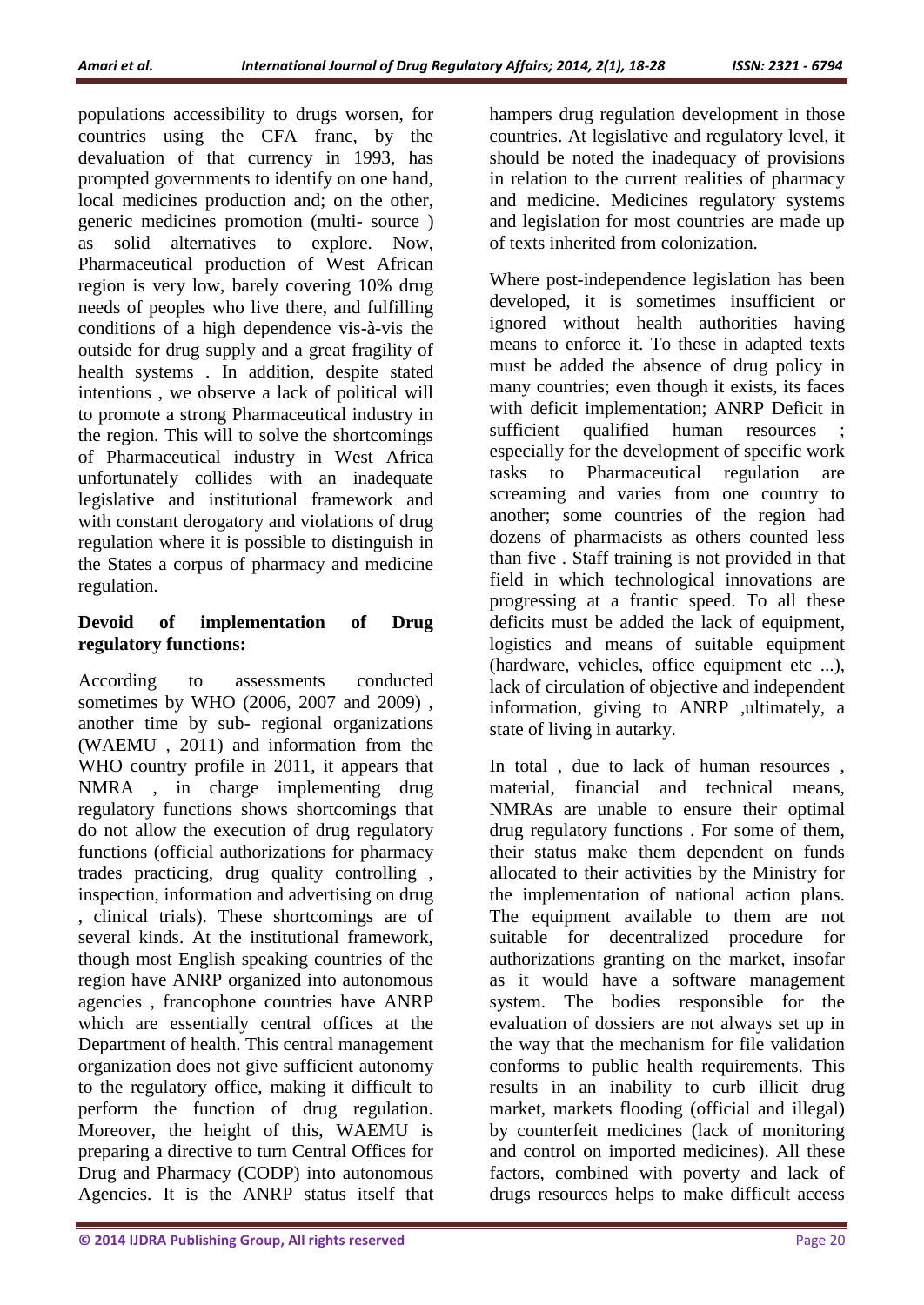populations accessibility to drugs worsen, for countries using the CFA franc, by the devaluation of that currency in 1993, has prompted governments to identify on one hand, local medicines production and; on the other, generic medicines promotion (multi- source ) as solid alternatives to explore. Now, Pharmaceutical production of West African region is very low, barely covering 10% drug needs of peoples who live there, and fulfilling conditions of a high dependence vis-à-vis the outside for drug supply and a great fragility of health systems . In addition, despite stated intentions , we observe a lack of political will to promote a strong Pharmaceutical industry in the region. This will to solve the shortcomings of Pharmaceutical industry in West Africa unfortunately collides with an inadequate legislative and institutional framework and with constant derogatory and violations of drug regulation where it is possible to distinguish in the States a corpus of pharmacy and medicine regulation.

# **Devoid of implementation of Drug regulatory functions:**

According to assessments conducted sometimes by WHO (2006, 2007 and 2009) , another time by sub- regional organizations (WAEMU , 2011) and information from the WHO country profile in 2011, it appears that NMRA , in charge implementing drug regulatory functions shows shortcomings that do not allow the execution of drug regulatory functions (official authorizations for pharmacy trades practicing, drug quality controlling , inspection, information and advertising on drug , clinical trials). These shortcomings are of several kinds. At the institutional framework, though most English speaking countries of the region have ANRP organized into autonomous agencies , francophone countries have ANRP which are essentially central offices at the Department of health. This central management organization does not give sufficient autonomy to the regulatory office, making it difficult to perform the function of drug regulation. Moreover, the height of this, WAEMU is preparing a directive to turn Central Offices for Drug and Pharmacy (CODP) into autonomous Agencies. It is the ANRP status itself that hampers drug regulation development in those countries. At legislative and regulatory level, it should be noted the inadequacy of provisions in relation to the current realities of pharmacy and medicine. Medicines regulatory systems and legislation for most countries are made up of texts inherited from colonization.

Where post-independence legislation has been developed, it is sometimes insufficient or ignored without health authorities having means to enforce it. To these in adapted texts must be added the absence of drug policy in many countries; even though it exists, its faces with deficit implementation; ANRP Deficit in sufficient qualified human resources ; especially for the development of specific work tasks to Pharmaceutical regulation are screaming and varies from one country to another; some countries of the region had dozens of pharmacists as others counted less than five . Staff training is not provided in that field in which technological innovations are progressing at a frantic speed. To all these deficits must be added the lack of equipment, logistics and means of suitable equipment (hardware, vehicles, office equipment etc ...), lack of circulation of objective and independent information, giving to ANRP ,ultimately, a state of living in autarky.

In total , due to lack of human resources , material, financial and technical means, NMRAs are unable to ensure their optimal drug regulatory functions . For some of them, their status make them dependent on funds allocated to their activities by the Ministry for the implementation of national action plans. The equipment available to them are not suitable for decentralized procedure for authorizations granting on the market, insofar as it would have a software management system. The bodies responsible for the evaluation of dossiers are not always set up in the way that the mechanism for file validation conforms to public health requirements. This results in an inability to curb illicit drug market, markets flooding (official and illegal) by counterfeit medicines (lack of monitoring and control on imported medicines). All these factors, combined with poverty and lack of drugs resources helps to make difficult access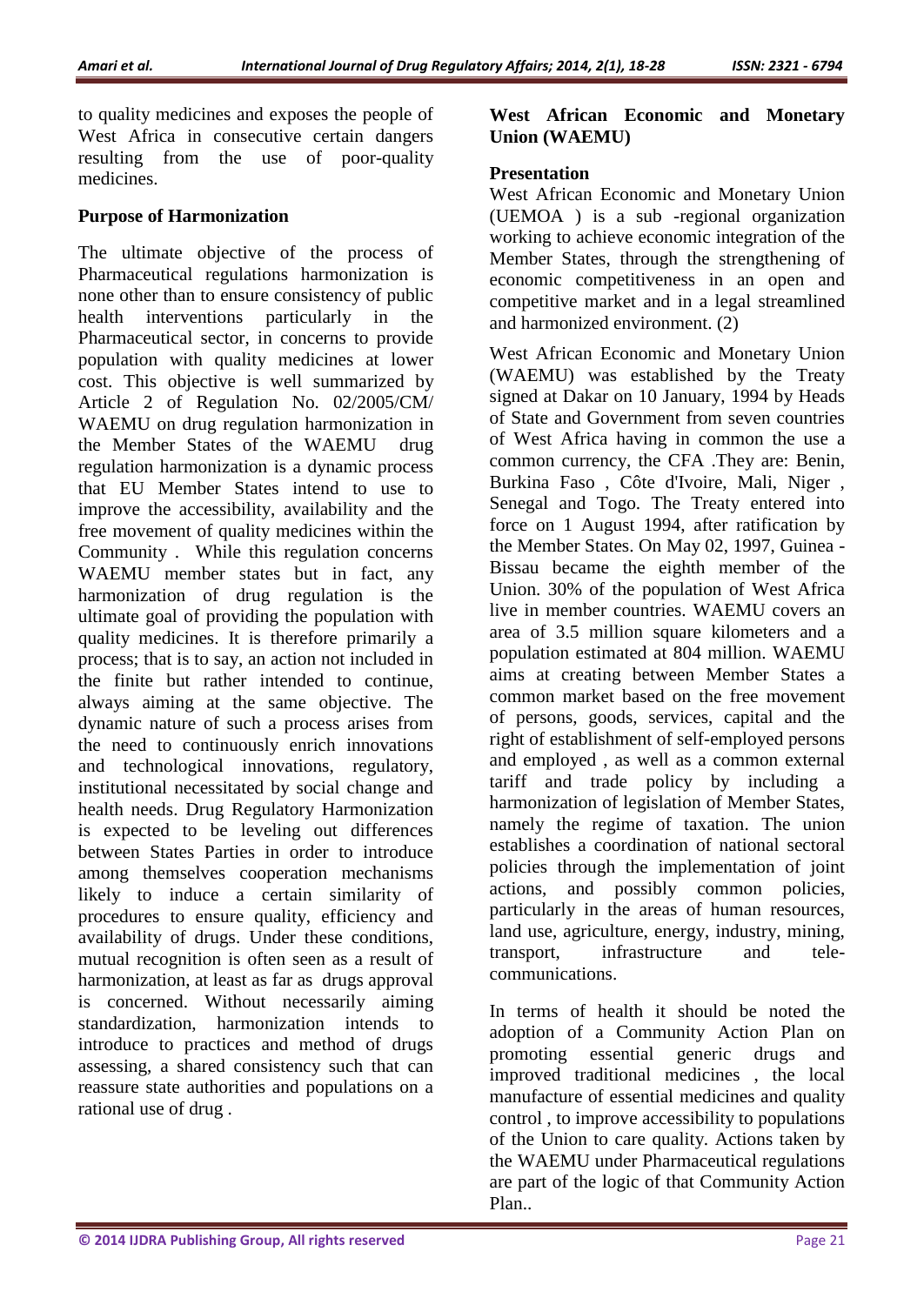to quality medicines and exposes the people of West Africa in consecutive certain dangers resulting from the use of poor-quality medicines.

#### **Purpose of Harmonization**

The ultimate objective of the process of Pharmaceutical regulations harmonization is none other than to ensure consistency of public health interventions particularly in the Pharmaceutical sector, in concerns to provide population with quality medicines at lower cost. This objective is well summarized by Article 2 of Regulation No. 02/2005/CM/ WAEMU on drug regulation harmonization in the Member States of the WAEMU drug regulation harmonization is a dynamic process that EU Member States intend to use to improve the accessibility, availability and the free movement of quality medicines within the Community . While this regulation concerns WAEMU member states but in fact, any harmonization of drug regulation is the ultimate goal of providing the population with quality medicines. It is therefore primarily a process; that is to say, an action not included in the finite but rather intended to continue, always aiming at the same objective. The dynamic nature of such a process arises from the need to continuously enrich innovations and technological innovations, regulatory, institutional necessitated by social change and health needs. Drug Regulatory Harmonization is expected to be leveling out differences between States Parties in order to introduce among themselves cooperation mechanisms likely to induce a certain similarity of procedures to ensure quality, efficiency and availability of drugs. Under these conditions, mutual recognition is often seen as a result of harmonization, at least as far as drugs approval is concerned. Without necessarily aiming standardization, harmonization intends to introduce to practices and method of drugs assessing, a shared consistency such that can reassure state authorities and populations on a rational use of drug .

#### **West African Economic and Monetary Union (WAEMU)**

#### **Presentation**

West African Economic and Monetary Union (UEMOA ) is a sub -regional organization working to achieve economic integration of the Member States, through the strengthening of economic competitiveness in an open and competitive market and in a legal streamlined and harmonized environment. (2)

West African Economic and Monetary Union (WAEMU) was established by the Treaty signed at Dakar on 10 January, 1994 by Heads of State and Government from seven countries of West Africa having in common the use a common currency, the CFA .They are: Benin, Burkina Faso , Côte d'Ivoire, Mali, Niger , Senegal and Togo. The Treaty entered into force on 1 August 1994, after ratification by the Member States. On May 02, 1997, Guinea - Bissau became the eighth member of the Union. 30% of the population of West Africa live in member countries. WAEMU covers an area of 3.5 million square kilometers and a population estimated at 804 million. WAEMU aims at creating between Member States a common market based on the free movement of persons, goods, services, capital and the right of establishment of self-employed persons and employed , as well as a common external tariff and trade policy by including a harmonization of legislation of Member States, namely the regime of taxation. The union establishes a coordination of national sectoral policies through the implementation of joint actions, and possibly common policies, particularly in the areas of human resources, land use, agriculture, energy, industry, mining, transport, infrastructure and telecommunications.

In terms of health it should be noted the adoption of a Community Action Plan on promoting essential generic drugs and improved traditional medicines , the local manufacture of essential medicines and quality control , to improve accessibility to populations of the Union to care quality. Actions taken by the WAEMU under Pharmaceutical regulations are part of the logic of that Community Action Plan..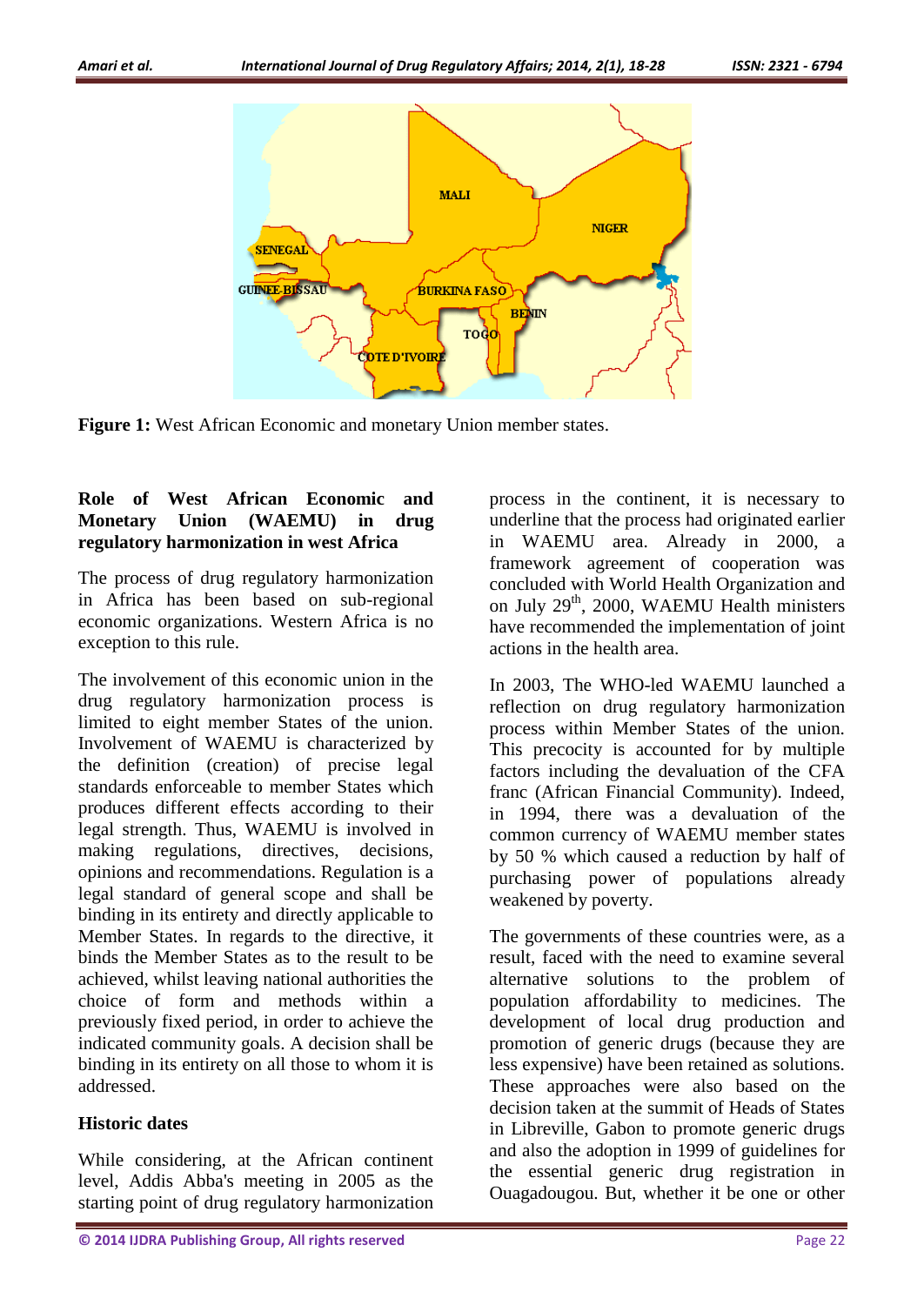

**Figure 1:** West African Economic and monetary Union member states.

## **Role of West African Economic and Monetary Union (WAEMU) in drug regulatory harmonization in west Africa**

The process of drug regulatory harmonization in Africa has been based on sub-regional economic organizations. Western Africa is no exception to this rule.

The involvement of this economic union in the drug regulatory harmonization process is limited to eight member States of the union. Involvement of WAEMU is characterized by the definition (creation) of precise legal standards enforceable to member States which produces different effects according to their legal strength. Thus, WAEMU is involved in making regulations, directives, decisions, opinions and recommendations. Regulation is a legal standard of general scope and shall be binding in its entirety and directly applicable to Member States. In regards to the directive, it binds the Member States as to the result to be achieved, whilst leaving national authorities the choice of form and methods within a previously fixed period, in order to achieve the indicated community goals. A decision shall be binding in its entirety on all those to whom it is addressed.

### **Historic dates**

While considering, at the African continent level, Addis Abba's meeting in 2005 as the starting point of drug regulatory harmonization

process in the continent, it is necessary to underline that the process had originated earlier in WAEMU area. Already in 2000, a framework agreement of cooperation was concluded with World Health Organization and on July 29<sup>th</sup>, 2000, WAEMU Health ministers have recommended the implementation of joint actions in the health area.

In 2003, The WHO-led WAEMU launched a reflection on drug regulatory harmonization process within Member States of the union. This precocity is accounted for by multiple factors including the devaluation of the CFA franc (African Financial Community). Indeed, in 1994, there was a devaluation of the common currency of WAEMU member states by 50 % which caused a reduction by half of purchasing power of populations already weakened by poverty.

The governments of these countries were, as a result, faced with the need to examine several alternative solutions to the problem of population affordability to medicines. The development of local drug production and promotion of generic drugs (because they are less expensive) have been retained as solutions. These approaches were also based on the decision taken at the summit of Heads of States in Libreville, Gabon to promote generic drugs and also the adoption in 1999 of guidelines for the essential generic drug registration in Ouagadougou. But, whether it be one or other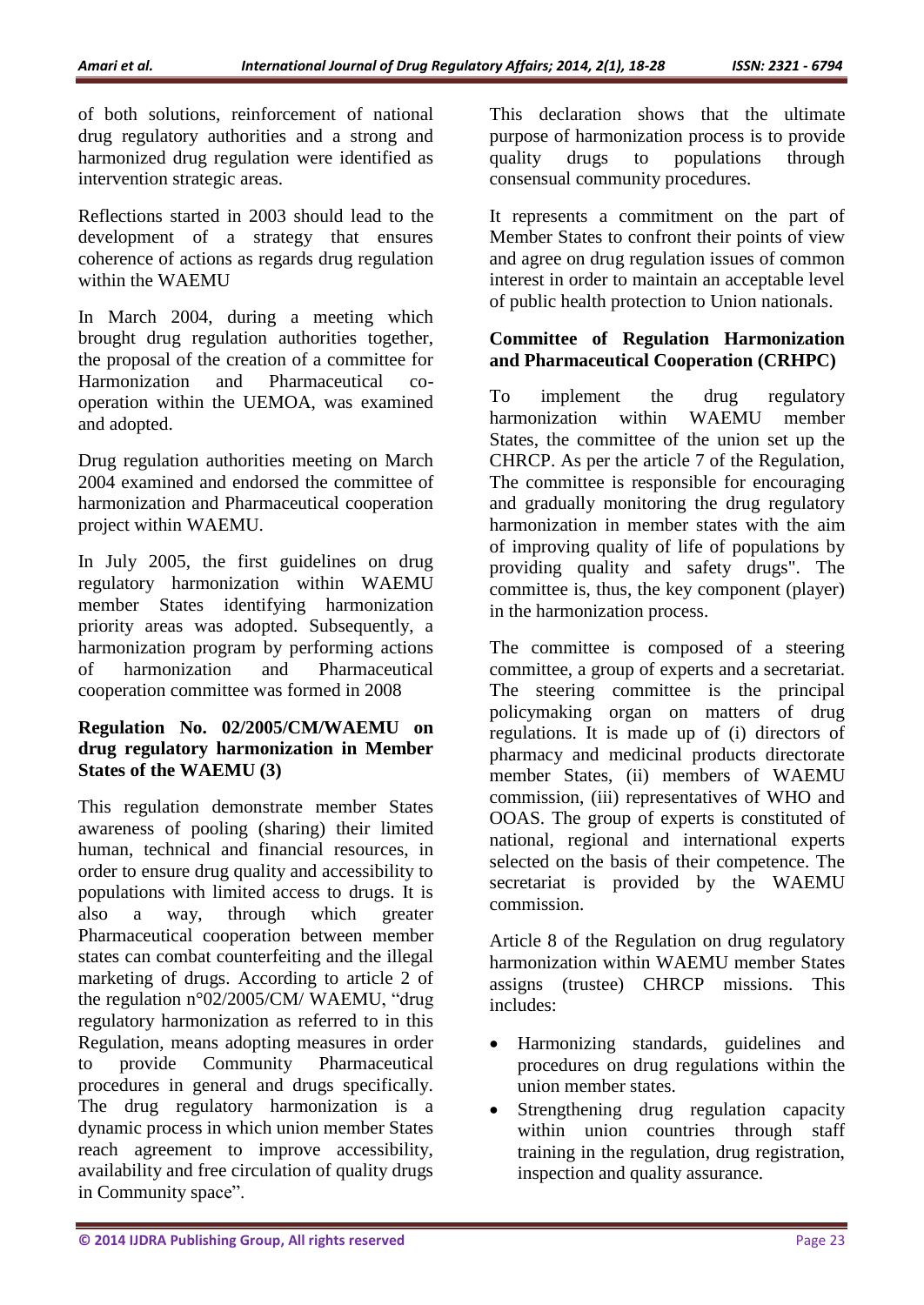of both solutions, reinforcement of national drug regulatory authorities and a strong and harmonized drug regulation were identified as intervention strategic areas.

Reflections started in 2003 should lead to the development of a strategy that ensures coherence of actions as regards drug regulation within the WAEMU

In March 2004, during a meeting which brought drug regulation authorities together, the proposal of the creation of a committee for Harmonization and Pharmaceutical cooperation within the UEMOA, was examined and adopted.

Drug regulation authorities meeting on March 2004 examined and endorsed the committee of harmonization and Pharmaceutical cooperation project within WAEMU.

In July 2005, the first guidelines on drug regulatory harmonization within WAEMU member States identifying harmonization priority areas was adopted. Subsequently, a harmonization program by performing actions of harmonization and Pharmaceutical cooperation committee was formed in 2008

### **Regulation No. 02/2005/CM/WAEMU on drug regulatory harmonization in Member States of the WAEMU (3)**

This regulation demonstrate member States awareness of pooling (sharing) their limited human, technical and financial resources, in order to ensure drug quality and accessibility to populations with limited access to drugs. It is also a way, through which greater Pharmaceutical cooperation between member states can combat counterfeiting and the illegal marketing of drugs. According to article 2 of the regulation n°02/2005/CM/ WAEMU, "drug regulatory harmonization as referred to in this Regulation, means adopting measures in order to provide Community Pharmaceutical procedures in general and drugs specifically. The drug regulatory harmonization is a dynamic process in which union member States reach agreement to improve accessibility, availability and free circulation of quality drugs in Community space".

This declaration shows that the ultimate purpose of harmonization process is to provide quality drugs to populations through consensual community procedures.

It represents a commitment on the part of Member States to confront their points of view and agree on drug regulation issues of common interest in order to maintain an acceptable level of public health protection to Union nationals.

### **Committee of Regulation Harmonization and Pharmaceutical Cooperation (CRHPC)**

To implement the drug regulatory harmonization within WAEMU member States, the committee of the union set up the CHRCP. As per the article 7 of the Regulation, The committee is responsible for encouraging and gradually monitoring the drug regulatory harmonization in member states with the aim of improving quality of life of populations by providing quality and safety drugs". The committee is, thus, the key component (player) in the harmonization process.

The committee is composed of a steering committee, a group of experts and a secretariat. The steering committee is the principal policymaking organ on matters of drug regulations. It is made up of (i) directors of pharmacy and medicinal products directorate member States, (ii) members of WAEMU commission, (iii) representatives of WHO and OOAS. The group of experts is constituted of national, regional and international experts selected on the basis of their competence. The secretariat is provided by the WAEMU commission.

Article 8 of the Regulation on drug regulatory harmonization within WAEMU member States assigns (trustee) CHRCP missions. This includes:

- Harmonizing standards, guidelines and procedures on drug regulations within the union member states.
- Strengthening drug regulation capacity within union countries through staff training in the regulation, drug registration, inspection and quality assurance.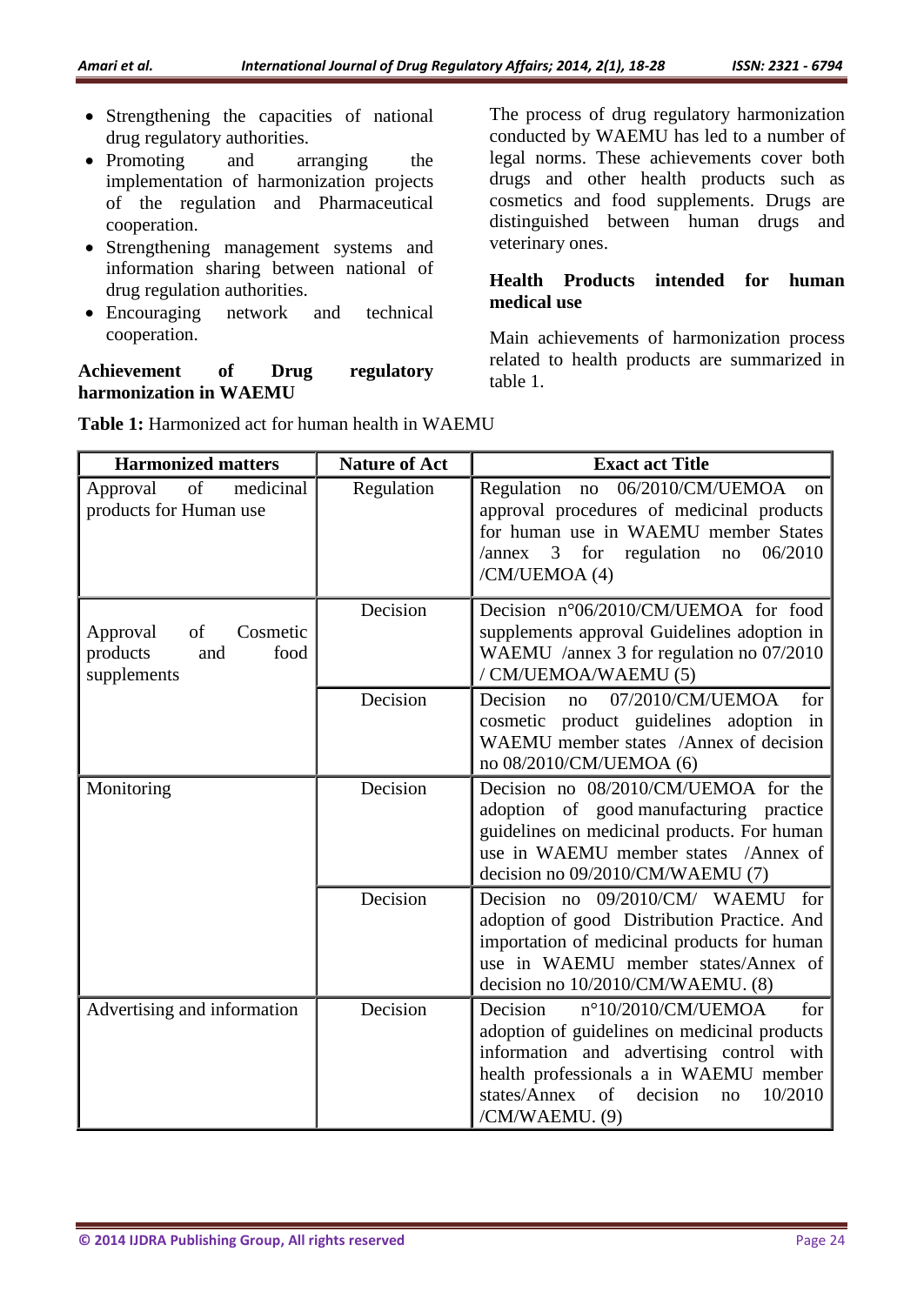- Strengthening the capacities of national drug regulatory authorities.
- Promoting and arranging the implementation of harmonization projects of the regulation and Pharmaceutical cooperation.
- Strengthening management systems and information sharing between national of drug regulation authorities.
- Encouraging network and technical cooperation.

## **Achievement of Drug regulatory harmonization in WAEMU**

The process of drug regulatory harmonization conducted by WAEMU has led to a number of legal norms. These achievements cover both drugs and other health products such as cosmetics and food supplements. Drugs are distinguished between human drugs and veterinary ones.

## **Health Products intended for human medical use**

Main achievements of harmonization process related to health products are summarized in table 1.

| <b>Harmonized matters</b>                                            | <b>Nature of Act</b> | <b>Exact act Title</b>                                                                                                                                                                                                                           |
|----------------------------------------------------------------------|----------------------|--------------------------------------------------------------------------------------------------------------------------------------------------------------------------------------------------------------------------------------------------|
| of<br>Approval<br>medicinal<br>products for Human use                | Regulation           | Regulation<br>06/2010/CM/UEMOA<br>$\rm no$<br><sub>on</sub><br>approval procedures of medicinal products<br>for human use in WAEMU member States<br>06/2010<br>3 for regulation<br>/annex<br>$\mathop{\mathrm{no}}$<br>/CM/UEMOA (4)             |
| Approval<br>of<br>Cosmetic<br>food<br>products<br>and<br>supplements | Decision             | Decision n°06/2010/CM/UEMOA for food<br>supplements approval Guidelines adoption in<br>WAEMU /annex 3 for regulation no 07/2010<br>/ CM/UEMOA/WAEMU (5)                                                                                          |
|                                                                      | Decision             | 07/2010/CM/UEMOA<br>Decision<br>no<br>for<br>cosmetic product guidelines adoption in<br>WAEMU member states /Annex of decision<br>no 08/2010/CM/UEMOA (6)                                                                                        |
| Monitoring                                                           | Decision             | Decision no 08/2010/CM/UEMOA for the<br>adoption of good manufacturing practice<br>guidelines on medicinal products. For human<br>use in WAEMU member states /Annex of<br>decision no 09/2010/CM/WAEMU (7)                                       |
|                                                                      | Decision             | Decision no 09/2010/CM/ WAEMU for<br>adoption of good Distribution Practice. And<br>importation of medicinal products for human<br>use in WAEMU member states/Annex of<br>decision no 10/2010/CM/WAEMU. (8)                                      |
| Advertising and information                                          | Decision             | n°10/2010/CM/UEMOA<br>Decision<br>for<br>adoption of guidelines on medicinal products<br>information and advertising control with<br>health professionals a in WAEMU member<br>decision<br>states/Annex<br>of<br>10/2010<br>no<br>/CM/WAEMU. (9) |

**Table 1:** Harmonized act for human health in WAEMU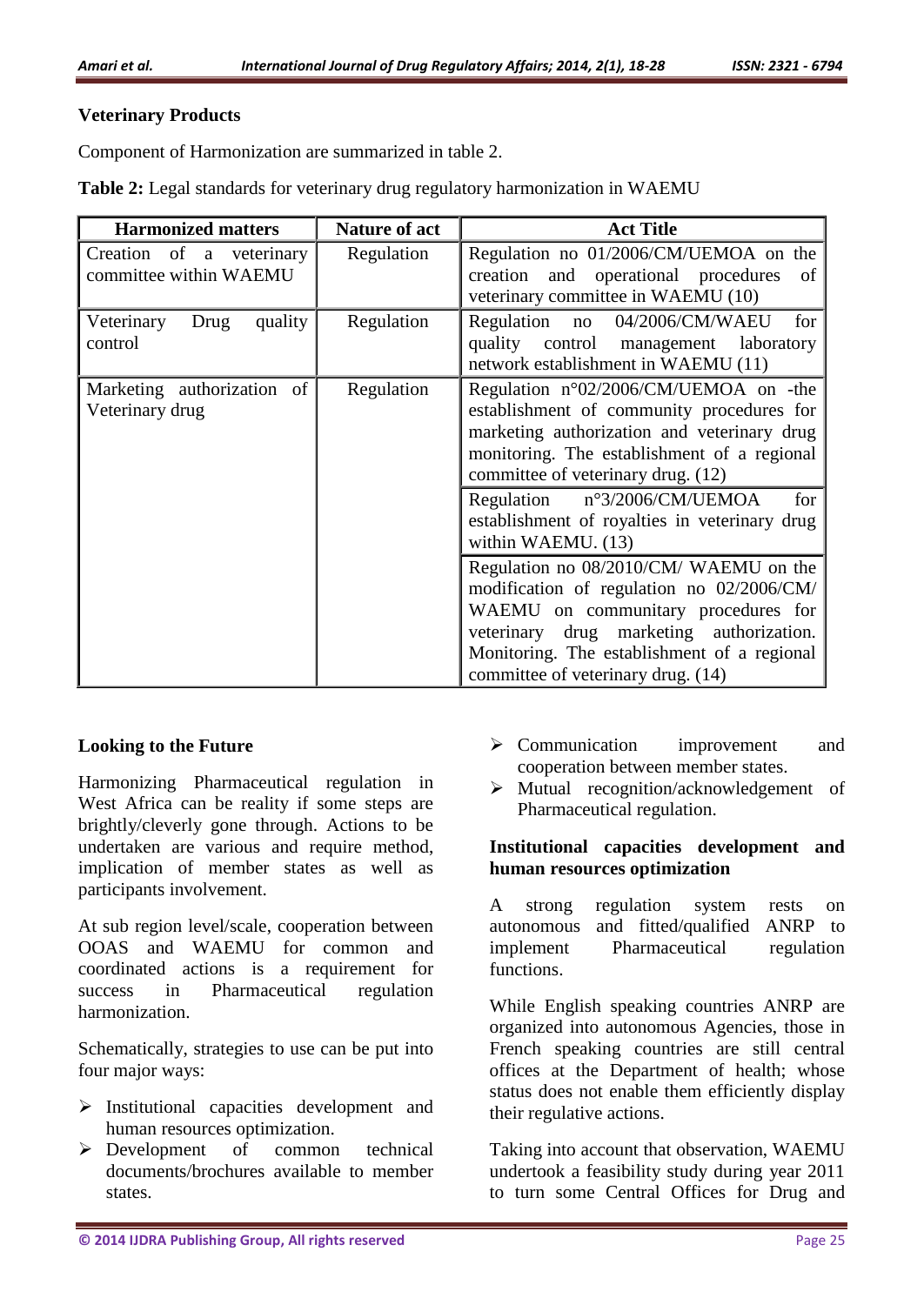#### **Veterinary Products**

Component of Harmonization are summarized in table 2.

| Table 2: Legal standards for veterinary drug regulatory harmonization in WAEMU |  |  |
|--------------------------------------------------------------------------------|--|--|
|--------------------------------------------------------------------------------|--|--|

| <b>Harmonized matters</b>                          | <b>Nature of act</b> | <b>Act Title</b>                                                                                                                                                                                                                                            |
|----------------------------------------------------|----------------------|-------------------------------------------------------------------------------------------------------------------------------------------------------------------------------------------------------------------------------------------------------------|
| Creation of a veterinary<br>committee within WAEMU | Regulation           | Regulation no 01/2006/CM/UEMOA on the<br>creation and operational procedures<br>of<br>veterinary committee in WAEMU (10)                                                                                                                                    |
| quality<br>Veterinary<br>Drug<br>control           | Regulation           | Regulation no 04/2006/CM/WAEU<br>for<br>quality control management<br>laboratory<br>network establishment in WAEMU (11)                                                                                                                                     |
| Marketing authorization of<br>Veterinary drug      | Regulation           | Regulation n°02/2006/CM/UEMOA on -the<br>establishment of community procedures for<br>marketing authorization and veterinary drug<br>monitoring. The establishment of a regional<br>committee of veterinary drug. (12)                                      |
|                                                    |                      | Regulation $n^{\circ}3/2006/CM/UEMOA$<br>for<br>establishment of royalties in veterinary drug<br>within WAEMU. (13)                                                                                                                                         |
|                                                    |                      | Regulation no 08/2010/CM/ WAEMU on the<br>modification of regulation no 02/2006/CM/<br>WAEMU on communitary procedures for<br>veterinary drug marketing authorization.<br>Monitoring. The establishment of a regional<br>committee of veterinary drug. (14) |

### **Looking to the Future**

Harmonizing Pharmaceutical regulation in West Africa can be reality if some steps are brightly/cleverly gone through. Actions to be undertaken are various and require method, implication of member states as well as participants involvement.

At sub region level/scale, cooperation between OOAS and WAEMU for common and coordinated actions is a requirement for success in Pharmaceutical regulation harmonization.

Schematically, strategies to use can be put into four major ways:

- $\triangleright$  Institutional capacities development and human resources optimization.
- Development of common technical documents/brochures available to member states.
- > Communication improvement and cooperation between member states.
- $\triangleright$  Mutual recognition/acknowledgement of Pharmaceutical regulation.

### **Institutional capacities development and human resources optimization**

A strong regulation system rests on autonomous and fitted/qualified ANRP to implement Pharmaceutical regulation functions.

While English speaking countries ANRP are organized into autonomous Agencies, those in French speaking countries are still central offices at the Department of health; whose status does not enable them efficiently display their regulative actions.

Taking into account that observation, WAEMU undertook a feasibility study during year 2011 to turn some Central Offices for Drug and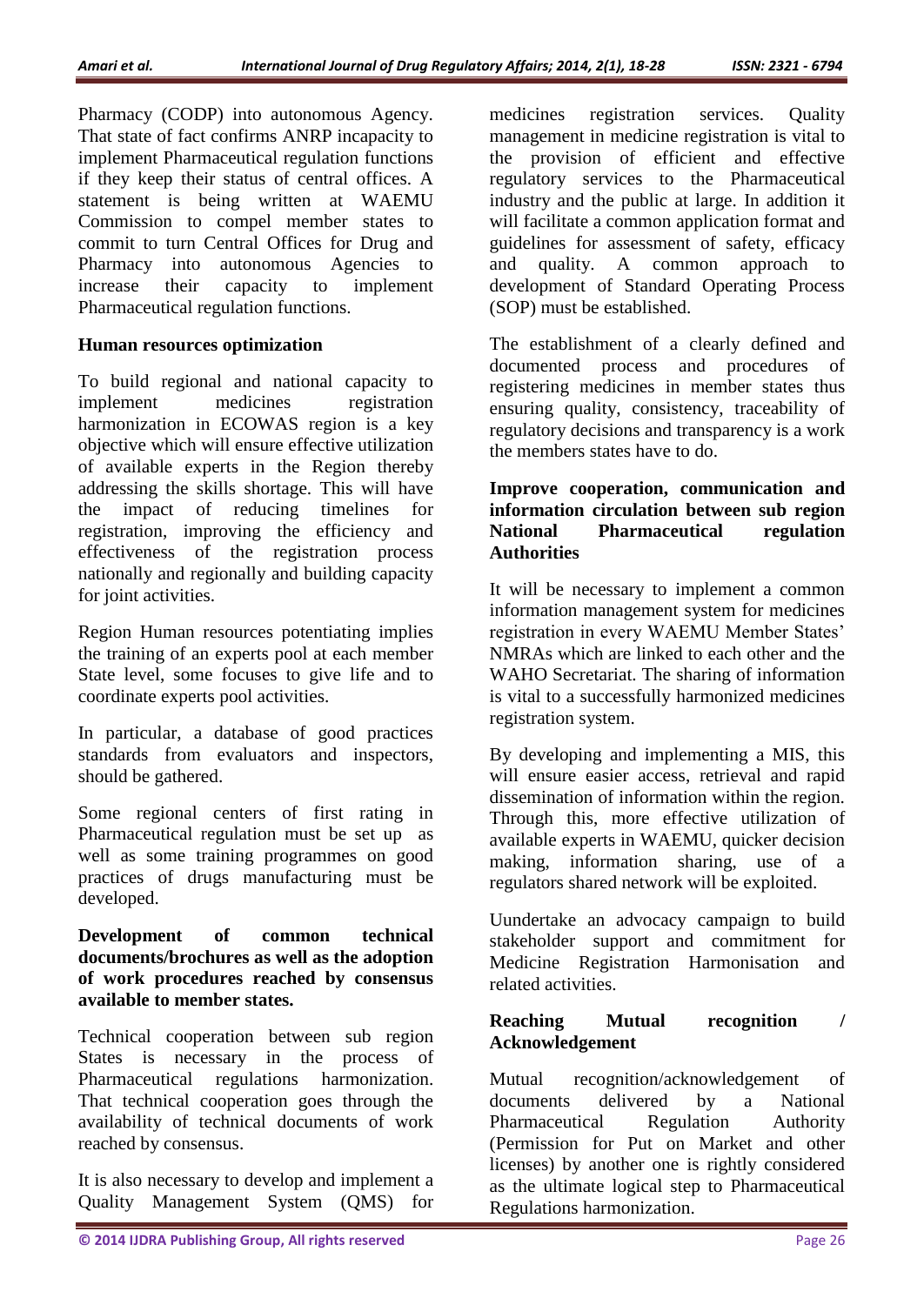Pharmacy (CODP) into autonomous Agency. That state of fact confirms ANRP incapacity to implement Pharmaceutical regulation functions if they keep their status of central offices. A statement is being written at WAEMU Commission to compel member states to commit to turn Central Offices for Drug and Pharmacy into autonomous Agencies to increase their capacity to implement Pharmaceutical regulation functions.

#### **Human resources optimization**

To build regional and national capacity to implement medicines registration harmonization in ECOWAS region is a key objective which will ensure effective utilization of available experts in the Region thereby addressing the skills shortage. This will have the impact of reducing timelines for registration, improving the efficiency and effectiveness of the registration process nationally and regionally and building capacity for joint activities.

Region Human resources potentiating implies the training of an experts pool at each member State level, some focuses to give life and to coordinate experts pool activities.

In particular, a database of good practices standards from evaluators and inspectors, should be gathered.

Some regional centers of first rating in Pharmaceutical regulation must be set up as well as some training programmes on good practices of drugs manufacturing must be developed.

#### **Development of common technical documents/brochures as well as the adoption of work procedures reached by consensus available to member states.**

Technical cooperation between sub region States is necessary in the process of Pharmaceutical regulations harmonization. That technical cooperation goes through the availability of technical documents of work reached by consensus.

It is also necessary to develop and implement a Quality Management System (QMS) for

medicines registration services. Quality management in medicine registration is vital to the provision of efficient and effective regulatory services to the Pharmaceutical industry and the public at large. In addition it will facilitate a common application format and guidelines for assessment of safety, efficacy and quality. A common approach to development of Standard Operating Process (SOP) must be established.

The establishment of a clearly defined and documented process and procedures of registering medicines in member states thus ensuring quality, consistency, traceability of regulatory decisions and transparency is a work the members states have to do.

#### **Improve cooperation, communication and information circulation between sub region National Pharmaceutical regulation Authorities**

It will be necessary to implement a common information management system for medicines registration in every WAEMU Member States' NMRAs which are linked to each other and the WAHO Secretariat. The sharing of information is vital to a successfully harmonized medicines registration system.

By developing and implementing a MIS, this will ensure easier access, retrieval and rapid dissemination of information within the region. Through this, more effective utilization of available experts in WAEMU, quicker decision making, information sharing, use of a regulators shared network will be exploited.

Uundertake an advocacy campaign to build stakeholder support and commitment for Medicine Registration Harmonisation and related activities.

### **Reaching Mutual recognition / Acknowledgement**

Mutual recognition/acknowledgement of documents delivered by a National Pharmaceutical Regulation Authority (Permission for Put on Market and other licenses) by another one is rightly considered as the ultimate logical step to Pharmaceutical Regulations harmonization.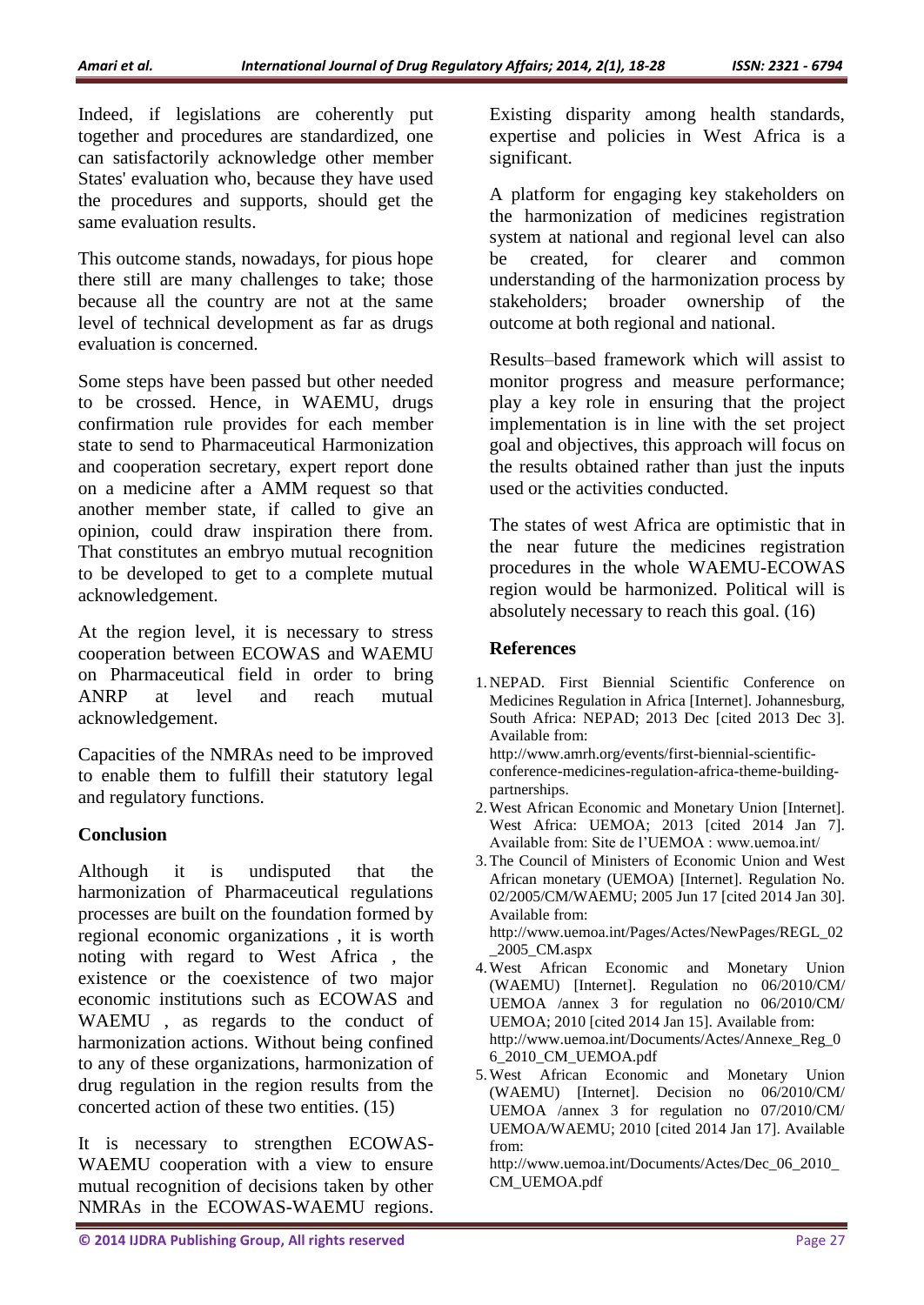Indeed, if legislations are coherently put together and procedures are standardized, one can satisfactorily acknowledge other member States' evaluation who, because they have used the procedures and supports, should get the same evaluation results.

This outcome stands, nowadays, for pious hope there still are many challenges to take; those because all the country are not at the same level of technical development as far as drugs evaluation is concerned.

Some steps have been passed but other needed to be crossed. Hence, in WAEMU, drugs confirmation rule provides for each member state to send to Pharmaceutical Harmonization and cooperation secretary, expert report done on a medicine after a AMM request so that another member state, if called to give an opinion, could draw inspiration there from. That constitutes an embryo mutual recognition to be developed to get to a complete mutual acknowledgement.

At the region level, it is necessary to stress cooperation between ECOWAS and WAEMU on Pharmaceutical field in order to bring ANRP at level and reach mutual acknowledgement.

Capacities of the NMRAs need to be improved to enable them to fulfill their statutory legal and regulatory functions.

### **Conclusion**

Although it is undisputed that the harmonization of Pharmaceutical regulations processes are built on the foundation formed by regional economic organizations , it is worth noting with regard to West Africa , the existence or the coexistence of two major economic institutions such as ECOWAS and WAEMU , as regards to the conduct of harmonization actions. Without being confined to any of these organizations, harmonization of drug regulation in the region results from the concerted action of these two entities. (15)

It is necessary to strengthen ECOWAS-WAEMU cooperation with a view to ensure mutual recognition of decisions taken by other NMRAs in the ECOWAS-WAEMU regions.

Existing disparity among health standards, expertise and policies in West Africa is a significant.

A platform for engaging key stakeholders on the harmonization of medicines registration system at national and regional level can also be created, for clearer and common understanding of the harmonization process by stakeholders; broader ownership of the outcome at both regional and national.

Results–based framework which will assist to monitor progress and measure performance; play a key role in ensuring that the project implementation is in line with the set project goal and objectives, this approach will focus on the results obtained rather than just the inputs used or the activities conducted.

The states of west Africa are optimistic that in the near future the medicines registration procedures in the whole WAEMU-ECOWAS region would be harmonized. Political will is absolutely necessary to reach this goal. (16)

#### **References**

1. NEPAD. First Biennial Scientific Conference on Medicines Regulation in Africa [Internet]. Johannesburg, South Africa: NEPAD; 2013 Dec [cited 2013 Dec 3]. Available from:

http://www.amrh.org/events/first-biennial-scientificconference-medicines-regulation-africa-theme-buildingpartnerships.

- 2.West African Economic and Monetary Union [Internet]. West Africa: UEMOA; 2013 [cited 2014 Jan 7]. Available from: Site de l'UEMOA : www.uemoa.int/
- 3.The Council of Ministers of Economic Union and West African monetary (UEMOA) [Internet]. Regulation No. 02/2005/CM/WAEMU; 2005 Jun 17 [cited 2014 Jan 30]. Available from:

http://www.uemoa.int/Pages/Actes/NewPages/REGL\_02 \_2005\_CM.aspx

- 4.West African Economic and Monetary Union (WAEMU) [Internet]. [Regulation no 06/2010/CM/](http://www.uemoa.int/Documents/Actes/Reg_06_2010_CM_UEMOA.pdf) [UEMOA](http://www.uemoa.int/Documents/Actes/Reg_06_2010_CM_UEMOA.pdf) [/annex 3 for regulation no 06/2010/CM/](http://www.uemoa.int/Documents/Actes/Annexe_Reg_06_2010_CM_UEMOA.pdf) [UEMOA;](http://www.uemoa.int/Documents/Actes/Annexe_Reg_06_2010_CM_UEMOA.pdf) 2010 [cited 2014 Jan 15]. Available from: http://www.uemoa.int/Documents/Actes/Annexe\_Reg\_0 6\_2010\_CM\_UEMOA.pdf
- 5.West African Economic and Monetary Union (WAEMU) [Internet]. Decision no 06/2010/CM/ UEMOA [/annex 3 for regulation no 07/2010/CM/](http://www.uemoa.int/Documents/Actes/Annexe_Reg_06_2010_CM_UEMOA.pdf) [UEMOA/](http://www.uemoa.int/Documents/Actes/Annexe_Reg_06_2010_CM_UEMOA.pdf)WAEMU; 2010 [cited 2014 Jan 17]. Available from:

http://www.uemoa.int/Documents/Actes/Dec\_06\_2010\_ CM\_UEMOA.pdf